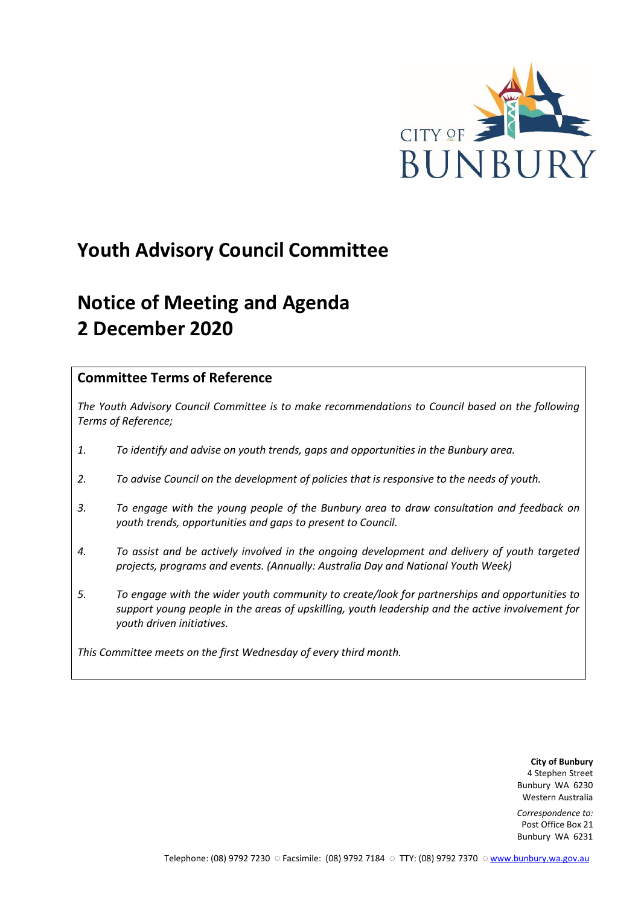

# **Youth Advisory Council Committee**

# **Notice of Meeting and Agenda 2 December 2020**

# **Committee Terms of Reference**

*The Youth Advisory Council Committee is to make recommendations to Council based on the following Terms of Reference;*

- *1. To identify and advise on youth trends, gaps and opportunities in the Bunbury area.*
- *2. To advise Council on the development of policies that is responsive to the needs of youth.*
- *3. To engage with the young people of the Bunbury area to draw consultation and feedback on youth trends, opportunities and gaps to present to Council.*
- *4. To assist and be actively involved in the ongoing development and delivery of youth targeted projects, programs and events. (Annually: Australia Day and National Youth Week)*
- *5. To engage with the wider youth community to create/look for partnerships and opportunities to support young people in the areas of upskilling, youth leadership and the active involvement for youth driven initiatives.*

*This Committee meets on the first Wednesday of every third month.*

**City of Bunbury** 4 Stephen Street Bunbury WA 6230 Western Australia

*Correspondence to:* Post Office Box 21 Bunbury WA 6231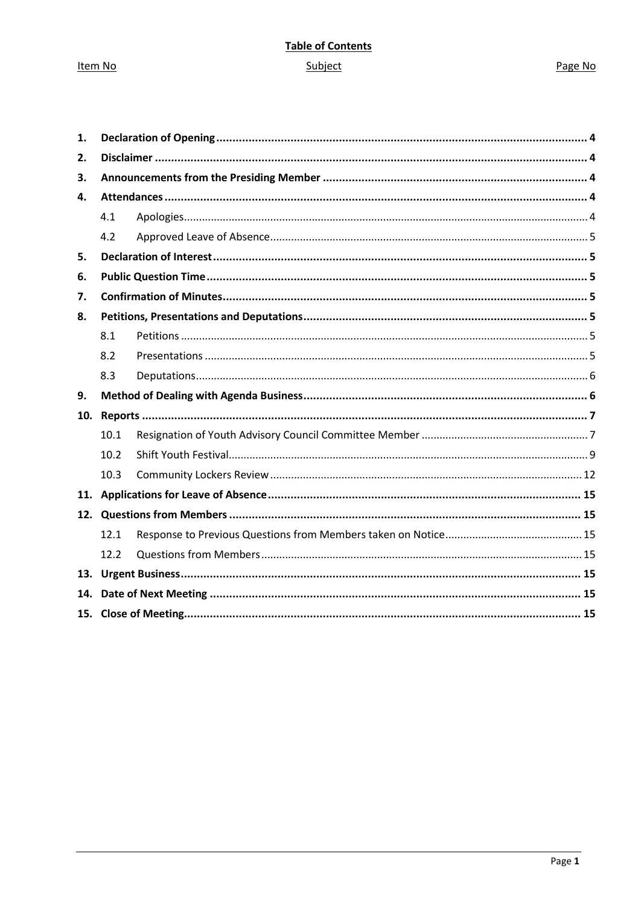Item No

# **Table of Contents** Subject

# Page No

| 1.  |      |  |  |  |
|-----|------|--|--|--|
| 2.  |      |  |  |  |
| З.  |      |  |  |  |
| 4.  |      |  |  |  |
|     | 4.1  |  |  |  |
|     | 4.2  |  |  |  |
| 5.  |      |  |  |  |
| 6.  |      |  |  |  |
| 7.  |      |  |  |  |
| 8.  |      |  |  |  |
|     | 8.1  |  |  |  |
|     | 8.2  |  |  |  |
|     | 8.3  |  |  |  |
| 9.  |      |  |  |  |
| 10. |      |  |  |  |
|     | 10.1 |  |  |  |
|     | 10.2 |  |  |  |
|     | 10.3 |  |  |  |
|     |      |  |  |  |
|     |      |  |  |  |
|     | 12.1 |  |  |  |
|     | 12.2 |  |  |  |
| 13. |      |  |  |  |
| 14. |      |  |  |  |
|     |      |  |  |  |
|     |      |  |  |  |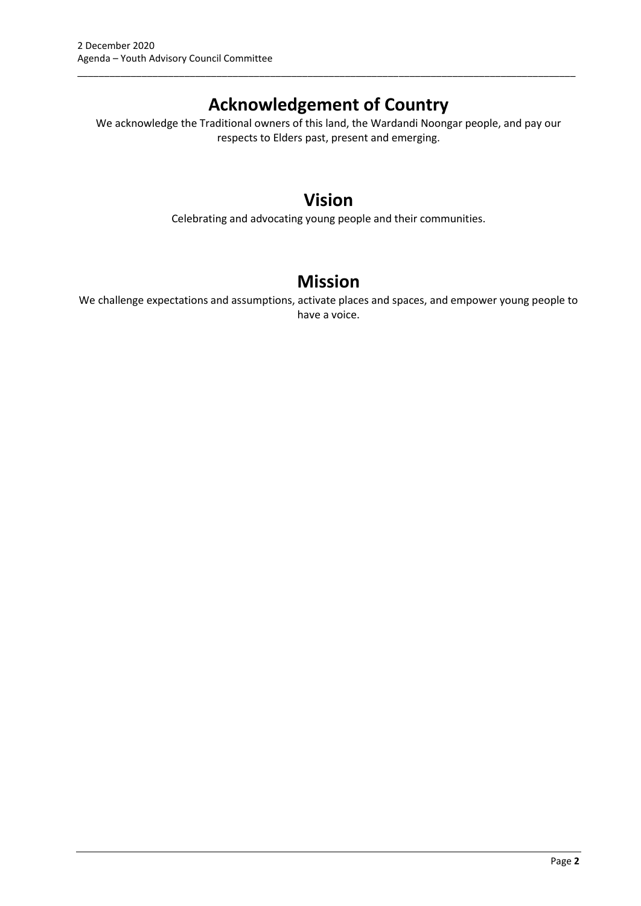# **Acknowledgement of Country**

\_\_\_\_\_\_\_\_\_\_\_\_\_\_\_\_\_\_\_\_\_\_\_\_\_\_\_\_\_\_\_\_\_\_\_\_\_\_\_\_\_\_\_\_\_\_\_\_\_\_\_\_\_\_\_\_\_\_\_\_\_\_\_\_\_\_\_\_\_\_\_\_\_\_\_\_\_\_\_\_\_\_\_\_\_\_\_\_\_\_\_\_\_

We acknowledge the Traditional owners of this land, the Wardandi Noongar people, and pay our respects to Elders past, present and emerging.

# **Vision**

Celebrating and advocating young people and their communities.

# **Mission**

We challenge expectations and assumptions, activate places and spaces, and empower young people to have a voice.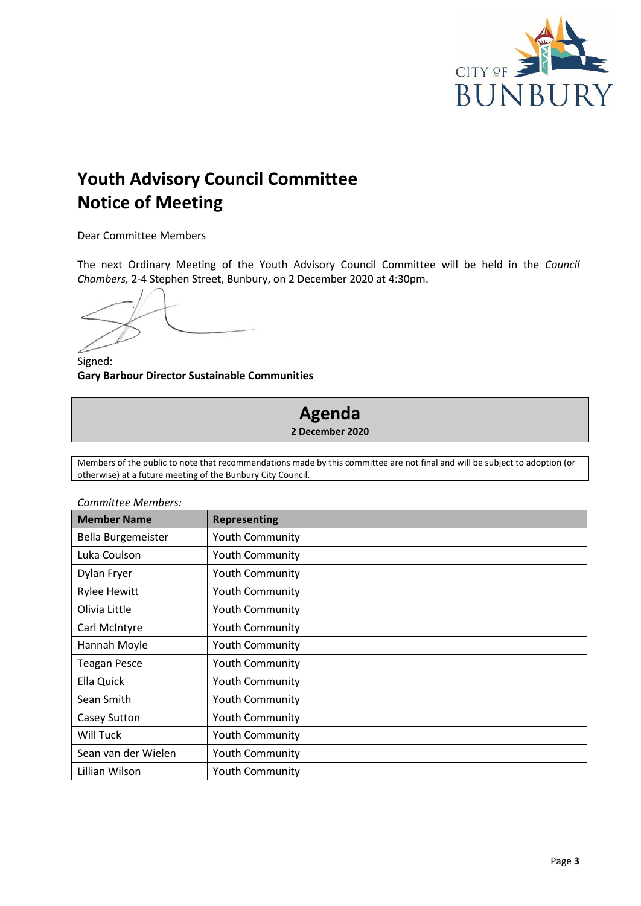

# **Youth Advisory Council Committee Notice of Meeting**

Dear Committee Members

The next Ordinary Meeting of the Youth Advisory Council Committee will be held in the *Council Chambers,* 2-4 Stephen Street, Bunbury, on 2 December 2020 at 4:30pm.

Signed: **Gary Barbour Director Sustainable Communities**



Members of the public to note that recommendations made by this committee are not final and will be subject to adoption (or otherwise) at a future meeting of the Bunbury City Council.

#### *Committee Members:*

| <b>Member Name</b>  | <b>Representing</b>    |
|---------------------|------------------------|
| Bella Burgemeister  | <b>Youth Community</b> |
| Luka Coulson        | Youth Community        |
| Dylan Fryer         | <b>Youth Community</b> |
| <b>Rylee Hewitt</b> | <b>Youth Community</b> |
| Olivia Little       | Youth Community        |
| Carl McIntyre       | <b>Youth Community</b> |
| Hannah Moyle        | <b>Youth Community</b> |
| <b>Teagan Pesce</b> | Youth Community        |
| Ella Quick          | <b>Youth Community</b> |
| Sean Smith          | <b>Youth Community</b> |
| Casey Sutton        | <b>Youth Community</b> |
| Will Tuck           | <b>Youth Community</b> |
| Sean van der Wielen | <b>Youth Community</b> |
| Lillian Wilson      | <b>Youth Community</b> |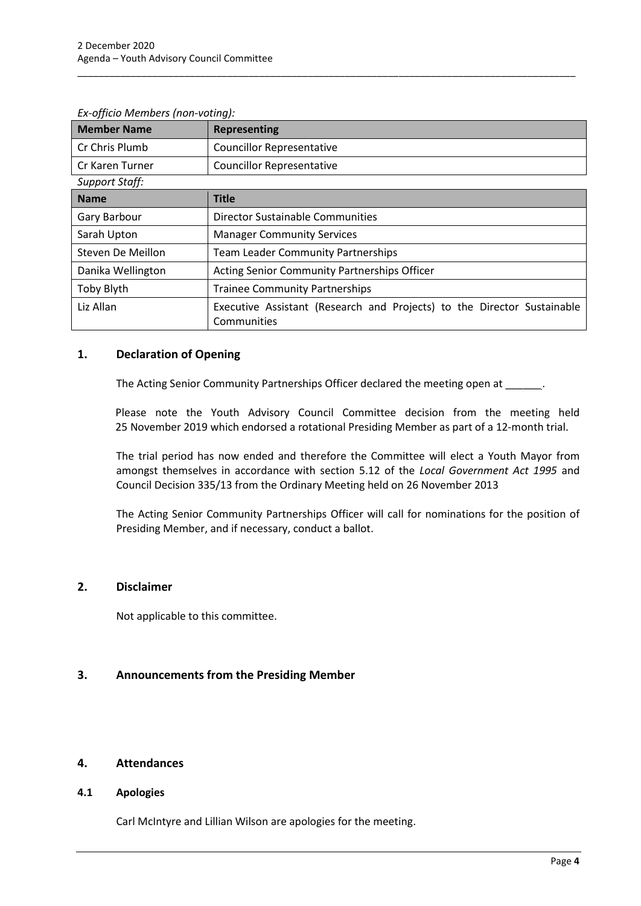| <b>Member Name</b>    | <b>Representing</b>                                                                    |  |  |
|-----------------------|----------------------------------------------------------------------------------------|--|--|
| Cr Chris Plumb        | <b>Councillor Representative</b>                                                       |  |  |
| Cr Karen Turner       | <b>Councillor Representative</b>                                                       |  |  |
| <b>Support Staff:</b> |                                                                                        |  |  |
| <b>Name</b>           | <b>Title</b>                                                                           |  |  |
| Gary Barbour          | Director Sustainable Communities                                                       |  |  |
| Sarah Upton           | <b>Manager Community Services</b>                                                      |  |  |
| Steven De Meillon     | <b>Team Leader Community Partnerships</b>                                              |  |  |
| Danika Wellington     | Acting Senior Community Partnerships Officer                                           |  |  |
| Toby Blyth            | <b>Trainee Community Partnerships</b>                                                  |  |  |
| Liz Allan             | Executive Assistant (Research and Projects) to the Director Sustainable<br>Communities |  |  |

\_\_\_\_\_\_\_\_\_\_\_\_\_\_\_\_\_\_\_\_\_\_\_\_\_\_\_\_\_\_\_\_\_\_\_\_\_\_\_\_\_\_\_\_\_\_\_\_\_\_\_\_\_\_\_\_\_\_\_\_\_\_\_\_\_\_\_\_\_\_\_\_\_\_\_\_\_\_\_\_\_\_\_\_\_\_\_\_\_\_\_\_\_

*Ex-officio Members (non-voting):*

#### <span id="page-4-0"></span>**1. Declaration of Opening**

The Acting Senior Community Partnerships Officer declared the meeting open at  $\qquad \qquad$ .

Please note the Youth Advisory Council Committee decision from the meeting held 25 November 2019 which endorsed a rotational Presiding Member as part of a 12-month trial.

The trial period has now ended and therefore the Committee will elect a Youth Mayor from amongst themselves in accordance with section 5.12 of the *Local Government Act 1995* and Council Decision 335/13 from the Ordinary Meeting held on 26 November 2013

The Acting Senior Community Partnerships Officer will call for nominations for the position of Presiding Member, and if necessary, conduct a ballot.

# <span id="page-4-1"></span>**2. Disclaimer**

Not applicable to this committee.

# <span id="page-4-2"></span>**3. Announcements from the Presiding Member**

#### <span id="page-4-3"></span>**4. Attendances**

#### <span id="page-4-4"></span>**4.1 Apologies**

Carl McIntyre and Lillian Wilson are apologies for the meeting.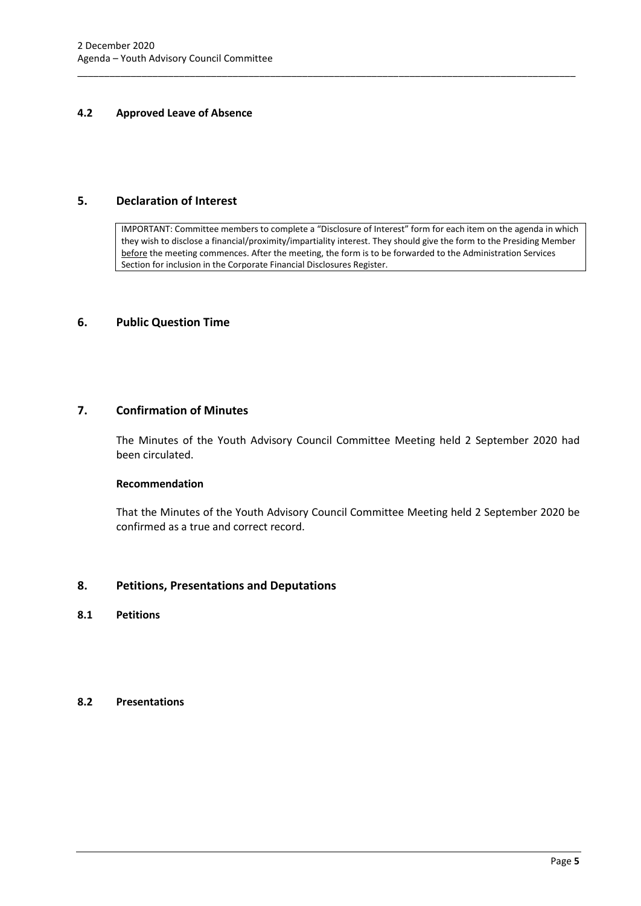### <span id="page-5-0"></span>**4.2 Approved Leave of Absence**

## <span id="page-5-1"></span>**5. Declaration of Interest**

IMPORTANT: Committee members to complete a "Disclosure of Interest" form for each item on the agenda in which they wish to disclose a financial/proximity/impartiality interest. They should give the form to the Presiding Member before the meeting commences. After the meeting, the form is to be forwarded to the Administration Services Section for inclusion in the Corporate Financial Disclosures Register.

\_\_\_\_\_\_\_\_\_\_\_\_\_\_\_\_\_\_\_\_\_\_\_\_\_\_\_\_\_\_\_\_\_\_\_\_\_\_\_\_\_\_\_\_\_\_\_\_\_\_\_\_\_\_\_\_\_\_\_\_\_\_\_\_\_\_\_\_\_\_\_\_\_\_\_\_\_\_\_\_\_\_\_\_\_\_\_\_\_\_\_\_\_

#### <span id="page-5-2"></span>**6. Public Question Time**

# <span id="page-5-3"></span>**7. Confirmation of Minutes**

The Minutes of the Youth Advisory Council Committee Meeting held 2 September 2020 had been circulated.

#### **Recommendation**

That the Minutes of the Youth Advisory Council Committee Meeting held 2 September 2020 be confirmed as a true and correct record.

# <span id="page-5-4"></span>**8. Petitions, Presentations and Deputations**

<span id="page-5-5"></span>**8.1 Petitions**

# <span id="page-5-6"></span>**8.2 Presentations**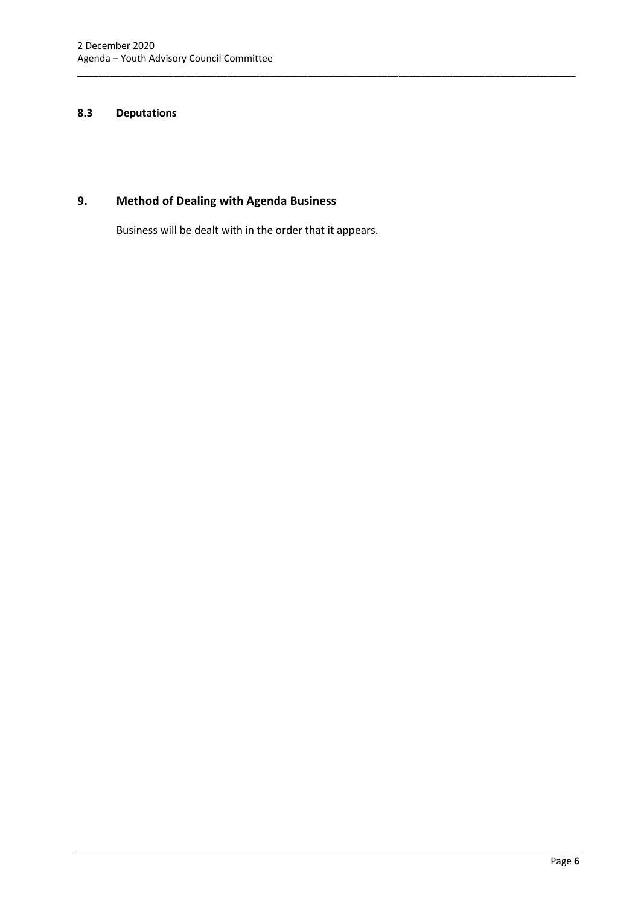# <span id="page-6-0"></span>**8.3 Deputations**

# <span id="page-6-1"></span>**9. Method of Dealing with Agenda Business**

Business will be dealt with in the order that it appears.

\_\_\_\_\_\_\_\_\_\_\_\_\_\_\_\_\_\_\_\_\_\_\_\_\_\_\_\_\_\_\_\_\_\_\_\_\_\_\_\_\_\_\_\_\_\_\_\_\_\_\_\_\_\_\_\_\_\_\_\_\_\_\_\_\_\_\_\_\_\_\_\_\_\_\_\_\_\_\_\_\_\_\_\_\_\_\_\_\_\_\_\_\_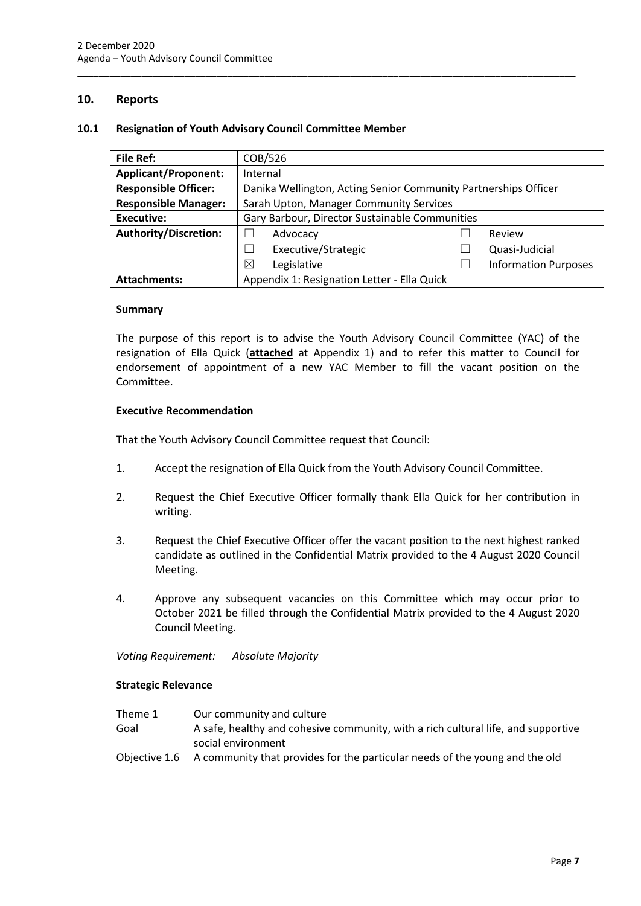# <span id="page-7-0"></span>**10. Reports**

#### <span id="page-7-1"></span>**10.1 Resignation of Youth Advisory Council Committee Member**

| <b>File Ref:</b>             | COB/526                                                         |  |                             |  |
|------------------------------|-----------------------------------------------------------------|--|-----------------------------|--|
| <b>Applicant/Proponent:</b>  | Internal                                                        |  |                             |  |
| <b>Responsible Officer:</b>  | Danika Wellington, Acting Senior Community Partnerships Officer |  |                             |  |
| <b>Responsible Manager:</b>  | Sarah Upton, Manager Community Services                         |  |                             |  |
| <b>Executive:</b>            | Gary Barbour, Director Sustainable Communities                  |  |                             |  |
| <b>Authority/Discretion:</b> | Advocacy                                                        |  | Review                      |  |
|                              | Executive/Strategic                                             |  | Quasi-Judicial              |  |
|                              | ⊠<br>Legislative                                                |  | <b>Information Purposes</b> |  |
| <b>Attachments:</b>          | Appendix 1: Resignation Letter - Ella Quick                     |  |                             |  |

\_\_\_\_\_\_\_\_\_\_\_\_\_\_\_\_\_\_\_\_\_\_\_\_\_\_\_\_\_\_\_\_\_\_\_\_\_\_\_\_\_\_\_\_\_\_\_\_\_\_\_\_\_\_\_\_\_\_\_\_\_\_\_\_\_\_\_\_\_\_\_\_\_\_\_\_\_\_\_\_\_\_\_\_\_\_\_\_\_\_\_\_\_

#### **Summary**

The purpose of this report is to advise the Youth Advisory Council Committee (YAC) of the resignation of Ella Quick (**attached** at Appendix 1) and to refer this matter to Council for endorsement of appointment of a new YAC Member to fill the vacant position on the Committee.

#### **Executive Recommendation**

That the Youth Advisory Council Committee request that Council:

- 1. Accept the resignation of Ella Quick from the Youth Advisory Council Committee.
- 2. Request the Chief Executive Officer formally thank Ella Quick for her contribution in writing.
- 3. Request the Chief Executive Officer offer the vacant position to the next highest ranked candidate as outlined in the Confidential Matrix provided to the 4 August 2020 Council Meeting.
- 4. Approve any subsequent vacancies on this Committee which may occur prior to October 2021 be filled through the Confidential Matrix provided to the 4 August 2020 Council Meeting.

*Voting Requirement: Absolute Majority* 

#### **Strategic Relevance**

- Theme 1 Our community and culture
- Goal A safe, healthy and cohesive community, with a rich cultural life, and supportive social environment
- Objective 1.6 A community that provides for the particular needs of the young and the old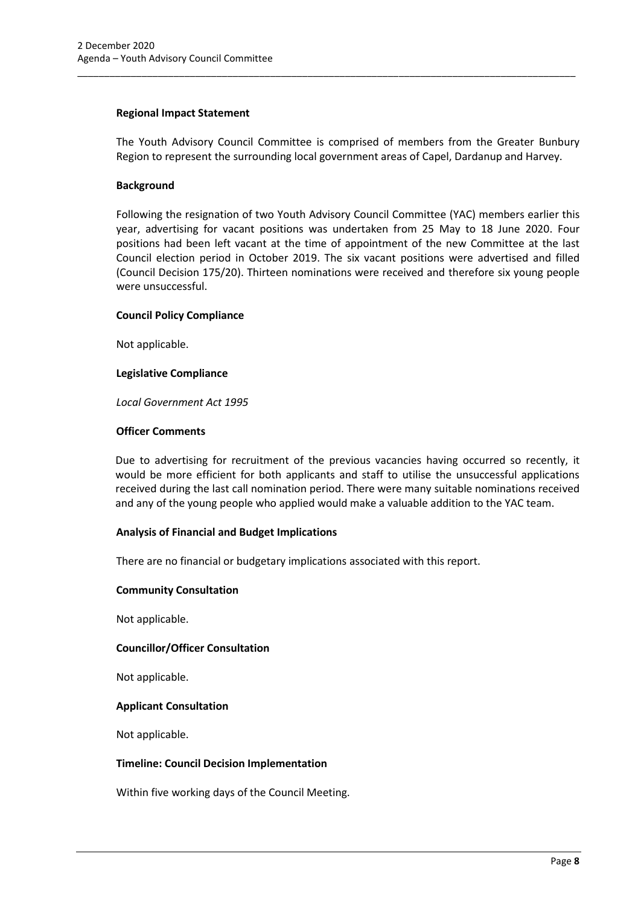#### **Regional Impact Statement**

The Youth Advisory Council Committee is comprised of members from the Greater Bunbury Region to represent the surrounding local government areas of Capel, Dardanup and Harvey.

\_\_\_\_\_\_\_\_\_\_\_\_\_\_\_\_\_\_\_\_\_\_\_\_\_\_\_\_\_\_\_\_\_\_\_\_\_\_\_\_\_\_\_\_\_\_\_\_\_\_\_\_\_\_\_\_\_\_\_\_\_\_\_\_\_\_\_\_\_\_\_\_\_\_\_\_\_\_\_\_\_\_\_\_\_\_\_\_\_\_\_\_\_

#### **Background**

Following the resignation of two Youth Advisory Council Committee (YAC) members earlier this year, advertising for vacant positions was undertaken from 25 May to 18 June 2020. Four positions had been left vacant at the time of appointment of the new Committee at the last Council election period in October 2019. The six vacant positions were advertised and filled (Council Decision 175/20). Thirteen nominations were received and therefore six young people were unsuccessful.

#### **Council Policy Compliance**

Not applicable.

#### **Legislative Compliance**

*Local Government Act 1995*

#### **Officer Comments**

Due to advertising for recruitment of the previous vacancies having occurred so recently, it would be more efficient for both applicants and staff to utilise the unsuccessful applications received during the last call nomination period. There were many suitable nominations received and any of the young people who applied would make a valuable addition to the YAC team.

#### **Analysis of Financial and Budget Implications**

There are no financial or budgetary implications associated with this report.

#### **Community Consultation**

Not applicable.

#### **Councillor/Officer Consultation**

Not applicable.

#### **Applicant Consultation**

Not applicable.

#### **Timeline: Council Decision Implementation**

Within five working days of the Council Meeting.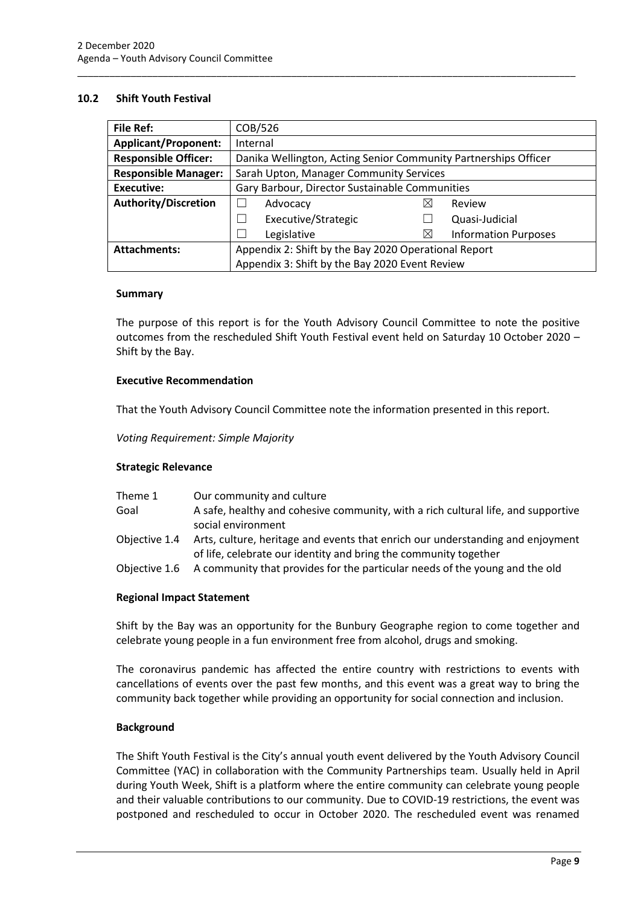### <span id="page-9-0"></span>**10.2 Shift Youth Festival**

| <b>File Ref:</b>            | COB/526                                                         |          |                             |  |
|-----------------------------|-----------------------------------------------------------------|----------|-----------------------------|--|
| <b>Applicant/Proponent:</b> | Internal                                                        |          |                             |  |
| <b>Responsible Officer:</b> | Danika Wellington, Acting Senior Community Partnerships Officer |          |                             |  |
| <b>Responsible Manager:</b> | Sarah Upton, Manager Community Services                         |          |                             |  |
| <b>Executive:</b>           | Gary Barbour, Director Sustainable Communities                  |          |                             |  |
| <b>Authority/Discretion</b> | Advocacy                                                        | ⋉        | Review                      |  |
|                             | Executive/Strategic                                             |          | Quasi-Judicial              |  |
|                             | Legislative                                                     | $\times$ | <b>Information Purposes</b> |  |
| <b>Attachments:</b>         | Appendix 2: Shift by the Bay 2020 Operational Report            |          |                             |  |
|                             | Appendix 3: Shift by the Bay 2020 Event Review                  |          |                             |  |

\_\_\_\_\_\_\_\_\_\_\_\_\_\_\_\_\_\_\_\_\_\_\_\_\_\_\_\_\_\_\_\_\_\_\_\_\_\_\_\_\_\_\_\_\_\_\_\_\_\_\_\_\_\_\_\_\_\_\_\_\_\_\_\_\_\_\_\_\_\_\_\_\_\_\_\_\_\_\_\_\_\_\_\_\_\_\_\_\_\_\_\_\_

#### **Summary**

The purpose of this report is for the Youth Advisory Council Committee to note the positive outcomes from the rescheduled Shift Youth Festival event held on Saturday 10 October 2020 – Shift by the Bay.

#### **Executive Recommendation**

That the Youth Advisory Council Committee note the information presented in this report.

*Voting Requirement: Simple Majority* 

#### **Strategic Relevance**

| Theme 1       | Our community and culture                                                                               |
|---------------|---------------------------------------------------------------------------------------------------------|
| Goal          | A safe, healthy and cohesive community, with a rich cultural life, and supportive<br>social environment |
|               |                                                                                                         |
| Obiective 1.4 | Arts, culture, heritage and events that enrich our understanding and enjoyment                          |
|               | of life, celebrate our identity and bring the community together                                        |
| Objective 1.6 | A community that provides for the particular needs of the young and the old                             |

#### **Regional Impact Statement**

Shift by the Bay was an opportunity for the Bunbury Geographe region to come together and celebrate young people in a fun environment free from alcohol, drugs and smoking.

The coronavirus pandemic has affected the entire country with restrictions to events with cancellations of events over the past few months, and this event was a great way to bring the community back together while providing an opportunity for social connection and inclusion.

#### **Background**

The Shift Youth Festival is the City's annual youth event delivered by the Youth Advisory Council Committee (YAC) in collaboration with the Community Partnerships team. Usually held in April during Youth Week, Shift is a platform where the entire community can celebrate young people and their valuable contributions to our community. Due to COVID-19 restrictions, the event was postponed and rescheduled to occur in October 2020. The rescheduled event was renamed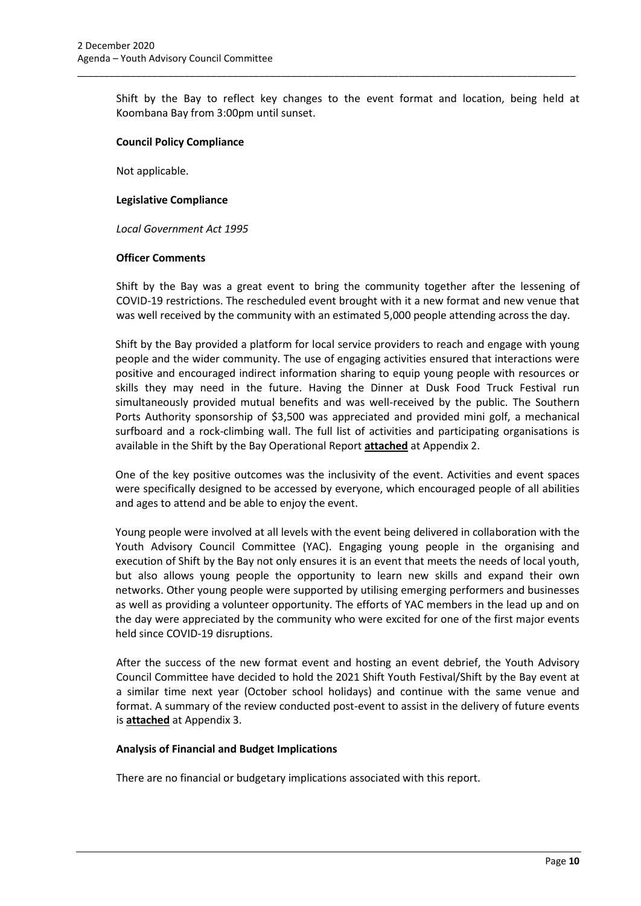Shift by the Bay to reflect key changes to the event format and location, being held at Koombana Bay from 3:00pm until sunset.

\_\_\_\_\_\_\_\_\_\_\_\_\_\_\_\_\_\_\_\_\_\_\_\_\_\_\_\_\_\_\_\_\_\_\_\_\_\_\_\_\_\_\_\_\_\_\_\_\_\_\_\_\_\_\_\_\_\_\_\_\_\_\_\_\_\_\_\_\_\_\_\_\_\_\_\_\_\_\_\_\_\_\_\_\_\_\_\_\_\_\_\_\_

#### **Council Policy Compliance**

Not applicable.

#### **Legislative Compliance**

*Local Government Act 1995*

#### **Officer Comments**

Shift by the Bay was a great event to bring the community together after the lessening of COVID-19 restrictions. The rescheduled event brought with it a new format and new venue that was well received by the community with an estimated 5,000 people attending across the day.

Shift by the Bay provided a platform for local service providers to reach and engage with young people and the wider community. The use of engaging activities ensured that interactions were positive and encouraged indirect information sharing to equip young people with resources or skills they may need in the future. Having the Dinner at Dusk Food Truck Festival run simultaneously provided mutual benefits and was well-received by the public. The Southern Ports Authority sponsorship of \$3,500 was appreciated and provided mini golf, a mechanical surfboard and a rock-climbing wall. The full list of activities and participating organisations is available in the Shift by the Bay Operational Report **attached** at Appendix 2.

One of the key positive outcomes was the inclusivity of the event. Activities and event spaces were specifically designed to be accessed by everyone, which encouraged people of all abilities and ages to attend and be able to enjoy the event.

Young people were involved at all levels with the event being delivered in collaboration with the Youth Advisory Council Committee (YAC). Engaging young people in the organising and execution of Shift by the Bay not only ensures it is an event that meets the needs of local youth, but also allows young people the opportunity to learn new skills and expand their own networks. Other young people were supported by utilising emerging performers and businesses as well as providing a volunteer opportunity. The efforts of YAC members in the lead up and on the day were appreciated by the community who were excited for one of the first major events held since COVID-19 disruptions.

After the success of the new format event and hosting an event debrief, the Youth Advisory Council Committee have decided to hold the 2021 Shift Youth Festival/Shift by the Bay event at a similar time next year (October school holidays) and continue with the same venue and format. A summary of the review conducted post-event to assist in the delivery of future events is **attached** at Appendix 3.

#### **Analysis of Financial and Budget Implications**

There are no financial or budgetary implications associated with this report.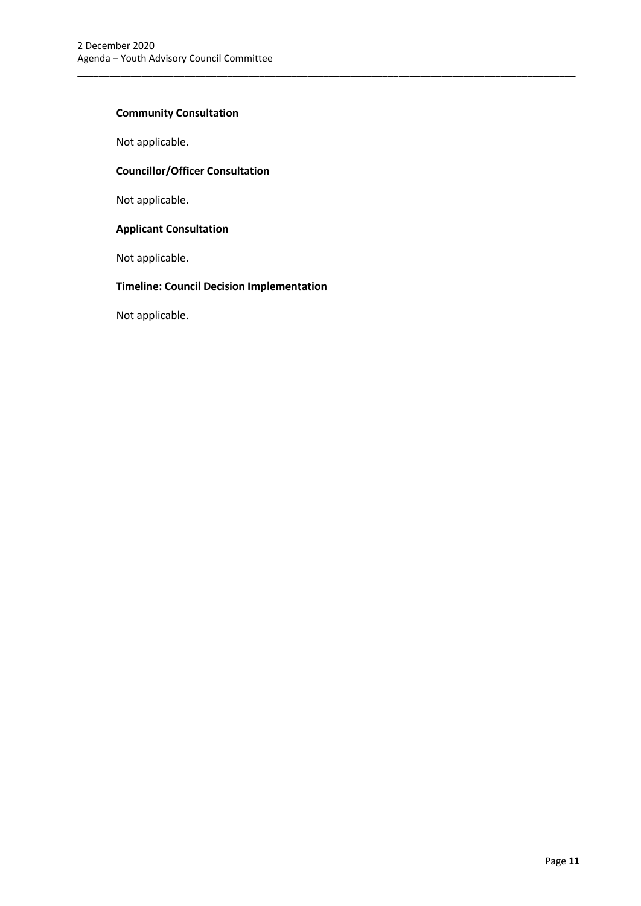## **Community Consultation**

Not applicable.

# **Councillor/Officer Consultation**

Not applicable.

#### **Applicant Consultation**

Not applicable.

# **Timeline: Council Decision Implementation**

\_\_\_\_\_\_\_\_\_\_\_\_\_\_\_\_\_\_\_\_\_\_\_\_\_\_\_\_\_\_\_\_\_\_\_\_\_\_\_\_\_\_\_\_\_\_\_\_\_\_\_\_\_\_\_\_\_\_\_\_\_\_\_\_\_\_\_\_\_\_\_\_\_\_\_\_\_\_\_\_\_\_\_\_\_\_\_\_\_\_\_\_\_

Not applicable.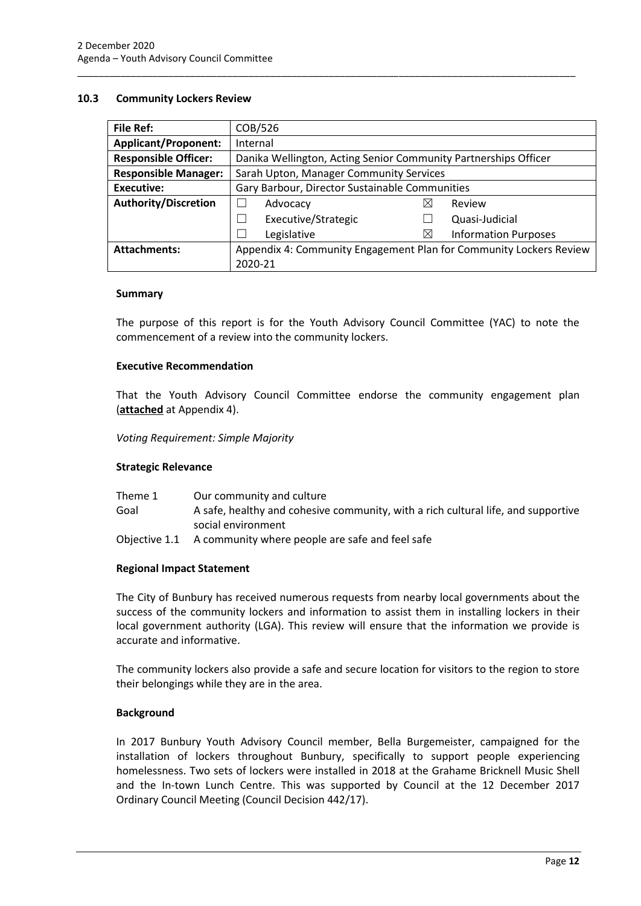| <b>File Ref:</b>            | COB/526                                                            |          |                             |  |
|-----------------------------|--------------------------------------------------------------------|----------|-----------------------------|--|
| <b>Applicant/Proponent:</b> | Internal                                                           |          |                             |  |
| <b>Responsible Officer:</b> | Danika Wellington, Acting Senior Community Partnerships Officer    |          |                             |  |
| <b>Responsible Manager:</b> | Sarah Upton, Manager Community Services                            |          |                             |  |
| <b>Executive:</b>           | Gary Barbour, Director Sustainable Communities                     |          |                             |  |
| <b>Authority/Discretion</b> | Advocacy                                                           | ⋉        | Review                      |  |
|                             | Executive/Strategic                                                |          | Quasi-Judicial              |  |
|                             | Legislative                                                        | $\times$ | <b>Information Purposes</b> |  |
| Attachments:                | Appendix 4: Community Engagement Plan for Community Lockers Review |          |                             |  |
|                             | 2020-21                                                            |          |                             |  |

\_\_\_\_\_\_\_\_\_\_\_\_\_\_\_\_\_\_\_\_\_\_\_\_\_\_\_\_\_\_\_\_\_\_\_\_\_\_\_\_\_\_\_\_\_\_\_\_\_\_\_\_\_\_\_\_\_\_\_\_\_\_\_\_\_\_\_\_\_\_\_\_\_\_\_\_\_\_\_\_\_\_\_\_\_\_\_\_\_\_\_\_\_

#### <span id="page-12-0"></span>**10.3 Community Lockers Review**

#### **Summary**

The purpose of this report is for the Youth Advisory Council Committee (YAC) to note the commencement of a review into the community lockers.

#### **Executive Recommendation**

That the Youth Advisory Council Committee endorse the community engagement plan (**attached** at Appendix 4).

*Voting Requirement: Simple Majority* 

#### **Strategic Relevance**

| Theme 1 | Our community and culture                                                         |
|---------|-----------------------------------------------------------------------------------|
| Goal    | A safe, healthy and cohesive community, with a rich cultural life, and supportive |
|         | social environment                                                                |
|         | Objective 1.1 A community where people are safe and feel safe                     |

#### **Regional Impact Statement**

The City of Bunbury has received numerous requests from nearby local governments about the success of the community lockers and information to assist them in installing lockers in their local government authority (LGA). This review will ensure that the information we provide is accurate and informative.

The community lockers also provide a safe and secure location for visitors to the region to store their belongings while they are in the area.

#### **Background**

In 2017 Bunbury Youth Advisory Council member, Bella Burgemeister, campaigned for the installation of lockers throughout Bunbury, specifically to support people experiencing homelessness. Two sets of lockers were installed in 2018 at the Grahame Bricknell Music Shell and the In-town Lunch Centre. This was supported by Council at the 12 December 2017 Ordinary Council Meeting (Council Decision 442/17).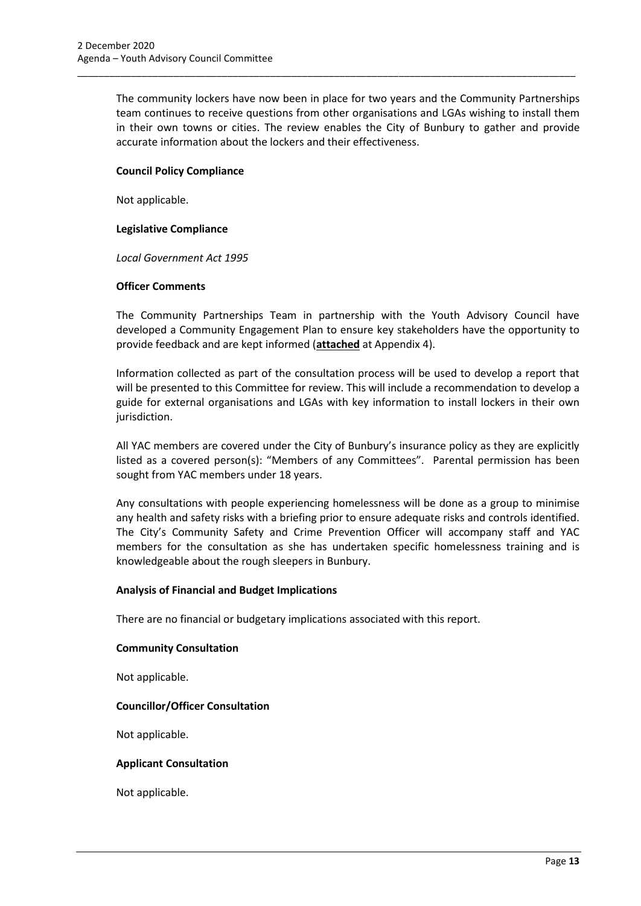The community lockers have now been in place for two years and the Community Partnerships team continues to receive questions from other organisations and LGAs wishing to install them in their own towns or cities. The review enables the City of Bunbury to gather and provide accurate information about the lockers and their effectiveness.

\_\_\_\_\_\_\_\_\_\_\_\_\_\_\_\_\_\_\_\_\_\_\_\_\_\_\_\_\_\_\_\_\_\_\_\_\_\_\_\_\_\_\_\_\_\_\_\_\_\_\_\_\_\_\_\_\_\_\_\_\_\_\_\_\_\_\_\_\_\_\_\_\_\_\_\_\_\_\_\_\_\_\_\_\_\_\_\_\_\_\_\_\_

### **Council Policy Compliance**

Not applicable.

### **Legislative Compliance**

*Local Government Act 1995*

## **Officer Comments**

The Community Partnerships Team in partnership with the Youth Advisory Council have developed a Community Engagement Plan to ensure key stakeholders have the opportunity to provide feedback and are kept informed (**attached** at Appendix 4).

Information collected as part of the consultation process will be used to develop a report that will be presented to this Committee for review. This will include a recommendation to develop a guide for external organisations and LGAs with key information to install lockers in their own jurisdiction.

All YAC members are covered under the City of Bunbury's insurance policy as they are explicitly listed as a covered person(s): "Members of any Committees". Parental permission has been sought from YAC members under 18 years.

Any consultations with people experiencing homelessness will be done as a group to minimise any health and safety risks with a briefing prior to ensure adequate risks and controls identified. The City's Community Safety and Crime Prevention Officer will accompany staff and YAC members for the consultation as she has undertaken specific homelessness training and is knowledgeable about the rough sleepers in Bunbury.

#### **Analysis of Financial and Budget Implications**

There are no financial or budgetary implications associated with this report.

#### **Community Consultation**

Not applicable.

#### **Councillor/Officer Consultation**

Not applicable.

#### **Applicant Consultation**

Not applicable.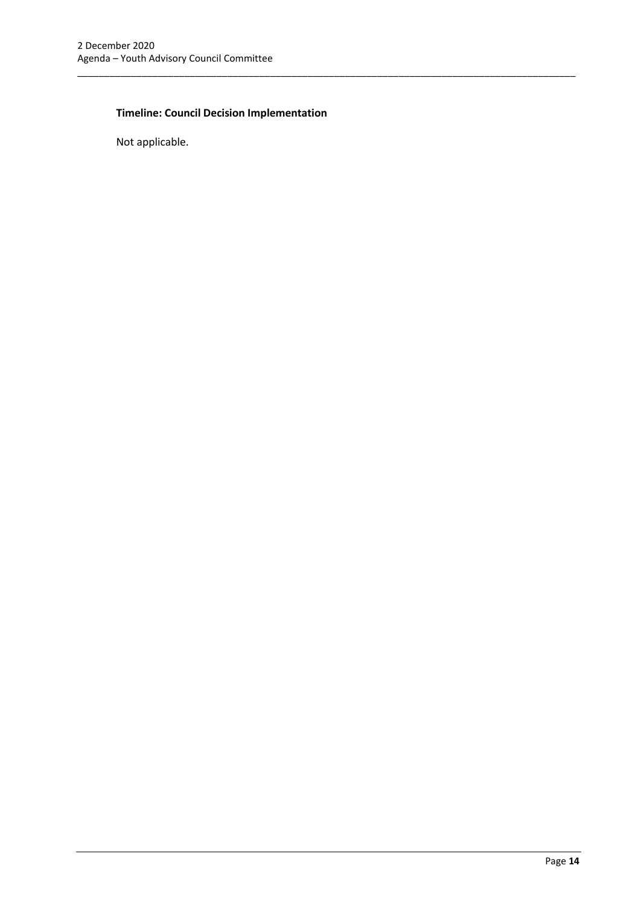# **Timeline: Council Decision Implementation**

\_\_\_\_\_\_\_\_\_\_\_\_\_\_\_\_\_\_\_\_\_\_\_\_\_\_\_\_\_\_\_\_\_\_\_\_\_\_\_\_\_\_\_\_\_\_\_\_\_\_\_\_\_\_\_\_\_\_\_\_\_\_\_\_\_\_\_\_\_\_\_\_\_\_\_\_\_\_\_\_\_\_\_\_\_\_\_\_\_\_\_\_\_

Not applicable.